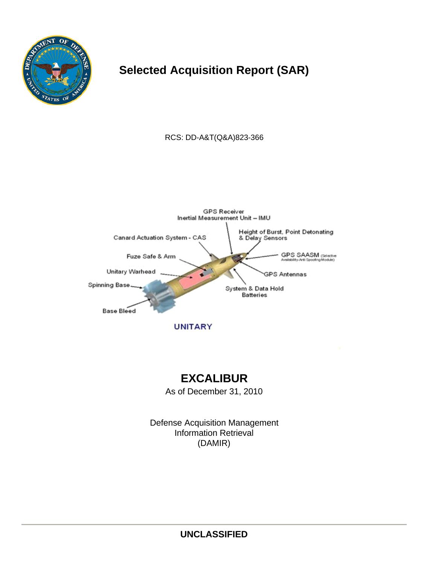

# **Selected Acquisition Report (SAR)**

RCS: DD-A&T(Q&A)823-366



**UNITARY** 

# **EXCALIBUR**

As of December 31, 2010

Defense Acquisition Management Information Retrieval (DAMIR)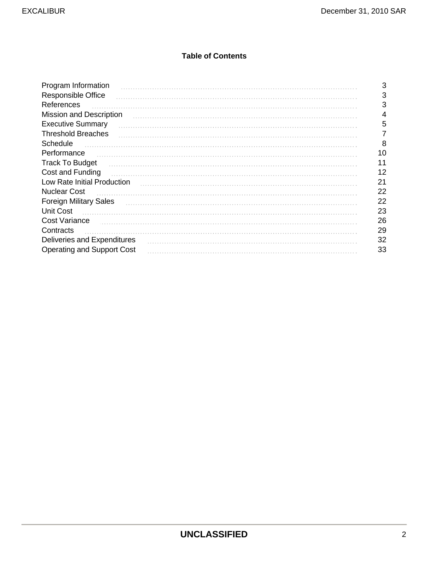### **Table of Contents**

| Program Information               | 3  |
|-----------------------------------|----|
| <b>Responsible Office</b>         | 3  |
| References                        | 3  |
| <b>Mission and Description</b>    | 4  |
| <b>Executive Summary</b>          | 5  |
| <b>Threshold Breaches</b>         |    |
| Schedule                          | 8  |
| Performance                       | 10 |
| <b>Track To Budget</b>            | 11 |
| Cost and Funding                  | 12 |
| Low Rate Initial Production       | 21 |
| <b>Nuclear Cost</b>               | 22 |
| <b>Foreign Military Sales</b>     | 22 |
| <b>Unit Cost</b>                  | 23 |
| <b>Cost Variance</b>              | 26 |
| Contracts                         | 29 |
| Deliveries and Expenditures       | 32 |
| <b>Operating and Support Cost</b> | 33 |
|                                   |    |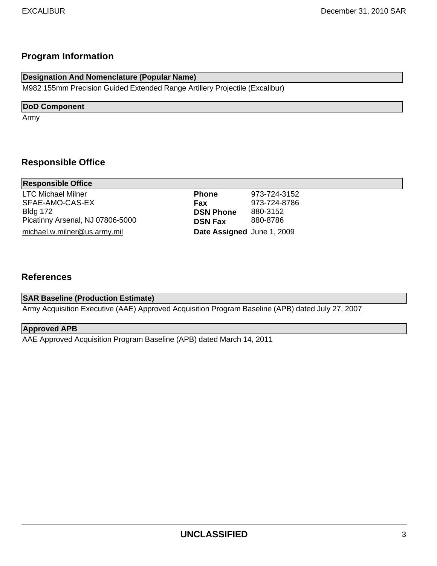## **Program Information**

| Designation And Nomenclature (Popular Name)                                 |  |
|-----------------------------------------------------------------------------|--|
| M982 155mm Precision Guided Extended Range Artillery Projectile (Excalibur) |  |

### **DoD Component**

Army

## **Responsible Office**

| <b>Responsible Office</b>        |                            |              |  |
|----------------------------------|----------------------------|--------------|--|
| <b>LTC Michael Milner</b>        | <b>Phone</b>               | 973-724-3152 |  |
| SFAE-AMO-CAS-EX                  | Fax                        | 973-724-8786 |  |
| <b>Bldg 172</b>                  | <b>DSN Phone</b>           | 880-3152     |  |
| Picatinny Arsenal, NJ 07806-5000 | <b>DSN Fax</b>             | 880-8786     |  |
| michael.w.milner@us.army.mil     | Date Assigned June 1, 2009 |              |  |
|                                  |                            |              |  |

### **References**

### **SAR Baseline (Production Estimate)**

Army Acquisition Executive (AAE) Approved Acquisition Program Baseline (APB) dated July 27, 2007

### **Approved APB**

AAE Approved Acquisition Program Baseline (APB) dated March 14, 2011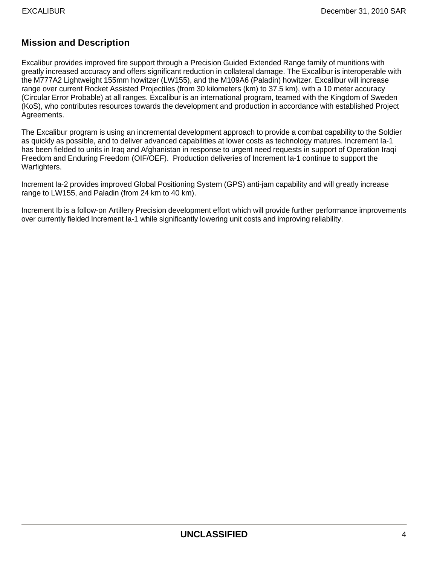## **Mission and Description**

Excalibur provides improved fire support through a Precision Guided Extended Range family of munitions with greatly increased accuracy and offers significant reduction in collateral damage. The Excalibur is interoperable with the M777A2 Lightweight 155mm howitzer (LW155), and the M109A6 (Paladin) howitzer. Excalibur will increase range over current Rocket Assisted Projectiles (from 30 kilometers (km) to 37.5 km), with a 10 meter accuracy (Circular Error Probable) at all ranges. Excalibur is an international program, teamed with the Kingdom of Sweden (KoS), who contributes resources towards the development and production in accordance with established Project Agreements.

The Excalibur program is using an incremental development approach to provide a combat capability to the Soldier as quickly as possible, and to deliver advanced capabilities at lower costs as technology matures. Increment Ia-1 has been fielded to units in Iraq and Afghanistan in response to urgent need requests in support of Operation Iraqi Freedom and Enduring Freedom (OIF/OEF). Production deliveries of Increment Ia-1 continue to support the Warfighters.

Increment Ia-2 provides improved Global Positioning System (GPS) anti-jam capability and will greatly increase range to LW155, and Paladin (from 24 km to 40 km).

Increment Ib is a follow-on Artillery Precision development effort which will provide further performance improvements over currently fielded Increment Ia-1 while significantly lowering unit costs and improving reliability.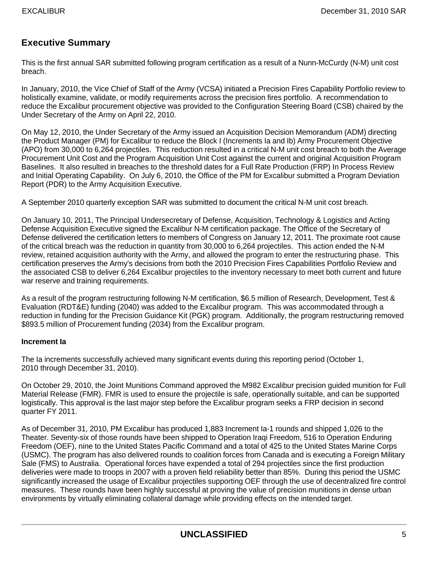### **Executive Summary**

This is the first annual SAR submitted following program certification as a result of a Nunn-McCurdy (N-M) unit cost breach.

In January, 2010, the Vice Chief of Staff of the Army (VCSA) initiated a Precision Fires Capability Portfolio review to holistically examine, validate, or modify requirements across the precision fires portfolio. A recommendation to reduce the Excalibur procurement objective was provided to the Configuration Steering Board (CSB) chaired by the Under Secretary of the Army on April 22, 2010.

On May 12, 2010, the Under Secretary of the Army issued an Acquisition Decision Memorandum (ADM) directing the Product Manager (PM) for Excalibur to reduce the Block I (Increments Ia and Ib) Army Procurement Objective (APO) from 30,000 to 6,264 projectiles. This reduction resulted in a critical N-M unit cost breach to both the Average Procurement Unit Cost and the Program Acquisition Unit Cost against the current and original Acquisition Program Baselines. It also resulted in breaches to the threshold dates for a Full Rate Production (FRP) In Process Review and Initial Operating Capability. On July 6, 2010, the Office of the PM for Excalibur submitted a Program Deviation Report (PDR) to the Army Acquisition Executive.

A September 2010 quarterly exception SAR was submitted to document the critical N-M unit cost breach.

On January 10, 2011, The Principal Undersecretary of Defense, Acquisition, Technology & Logistics and Acting Defense Acquisition Executive signed the Excalibur N-M certification package. The Office of the Secretary of Defense delivered the certification letters to members of Congress on January 12, 2011. The proximate root cause of the critical breach was the reduction in quantity from 30,000 to 6,264 projectiles. This action ended the N-M review, retained acquisition authority with the Army, and allowed the program to enter the restructuring phase. This certification preserves the Army's decisions from both the 2010 Precision Fires Capabilities Portfolio Review and the associated CSB to deliver 6,264 Excalibur projectiles to the inventory necessary to meet both current and future war reserve and training requirements.

As a result of the program restructuring following N-M certification, \$6.5 million of Research, Development, Test & Evaluation (RDT&E) funding (2040) was added to the Excalibur program. This was accommodated through a reduction in funding for the Precision Guidance Kit (PGK) program. Additionally, the program restructuring removed \$893.5 million of Procurement funding (2034) from the Excalibur program.

#### **Increment Ia**

The Ia increments successfully achieved many significant events during this reporting period (October 1, 2010 through December 31, 2010).

On October 29, 2010, the Joint Munitions Command approved the M982 Excalibur precision guided munition for Full Material Release (FMR). FMR is used to ensure the projectile is safe, operationally suitable, and can be supported logistically. This approval is the last major step before the Excalibur program seeks a FRP decision in second quarter FY 2011.

As of December 31, 2010, PM Excalibur has produced 1,883 Increment Ia-1 rounds and shipped 1,026 to the Theater. Seventy-six of those rounds have been shipped to Operation Iraqi Freedom, 516 to Operation Enduring Freedom (OEF), nine to the United States Pacific Command and a total of 425 to the United States Marine Corps (USMC). The program has also delivered rounds to coalition forces from Canada and is executing a Foreign Military Sale (FMS) to Australia. Operational forces have expended a total of 294 projectiles since the first production deliveries were made to troops in 2007 with a proven field reliability better than 85%. During this period the USMC significantly increased the usage of Excalibur projectiles supporting OEF through the use of decentralized fire control measures. These rounds have been highly successful at proving the value of precision munitions in dense urban environments by virtually eliminating collateral damage while providing effects on the intended target.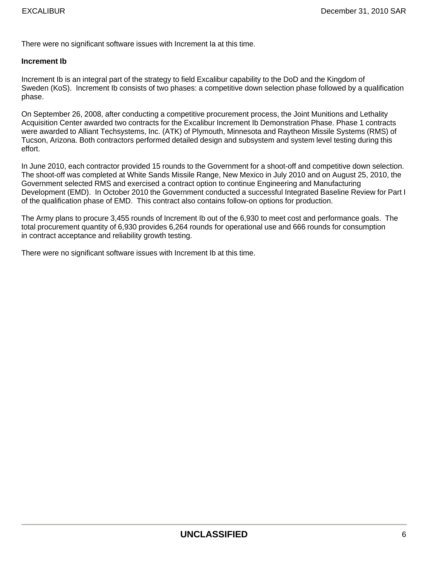There were no significant software issues with Increment Ia at this time.

#### **Increment Ib**

Increment Ib is an integral part of the strategy to field Excalibur capability to the DoD and the Kingdom of Sweden (KoS). Increment Ib consists of two phases: a competitive down selection phase followed by a qualification phase.

On September 26, 2008, after conducting a competitive procurement process, the Joint Munitions and Lethality Acquisition Center awarded two contracts for the Excalibur Increment Ib Demonstration Phase. Phase 1 contracts were awarded to Alliant Techsystems, Inc. (ATK) of Plymouth, Minnesota and Raytheon Missile Systems (RMS) of Tucson, Arizona. Both contractors performed detailed design and subsystem and system level testing during this effort.

In June 2010, each contractor provided 15 rounds to the Government for a shoot-off and competitive down selection. The shoot-off was completed at White Sands Missile Range, New Mexico in July 2010 and on August 25, 2010, the Government selected RMS and exercised a contract option to continue Engineering and Manufacturing Development (EMD). In October 2010 the Government conducted a successful Integrated Baseline Review for Part I of the qualification phase of EMD. This contract also contains follow-on options for production.

The Army plans to procure 3,455 rounds of Increment Ib out of the 6,930 to meet cost and performance goals. The total procurement quantity of 6,930 provides 6,264 rounds for operational use and 666 rounds for consumption in contract acceptance and reliability growth testing.

There were no significant software issues with Increment Ib at this time.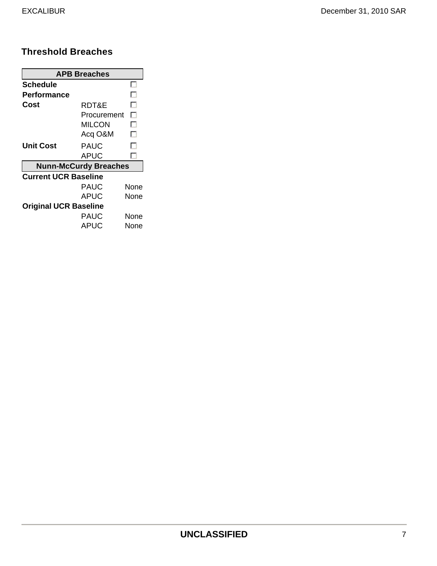### **Threshold Breaches**

|                              | <b>APB Breaches</b>          |      |
|------------------------------|------------------------------|------|
| Schedule                     |                              |      |
| Performance                  |                              | . .  |
| Cost                         | RDT&E                        | . .  |
|                              | Procurement                  | п    |
|                              | MILCON                       | L.   |
|                              | Acq O&M                      | L.   |
| Unit Cost                    | . .                          |      |
|                              | APUC                         | . .  |
|                              | <b>Nunn-McCurdy Breaches</b> |      |
| <b>Current UCR Baseline</b>  |                              |      |
|                              | PAUC                         | None |
|                              | APUC                         | None |
| <b>Original UCR Baseline</b> |                              |      |
|                              | PAUC                         | None |
|                              | APUC                         | None |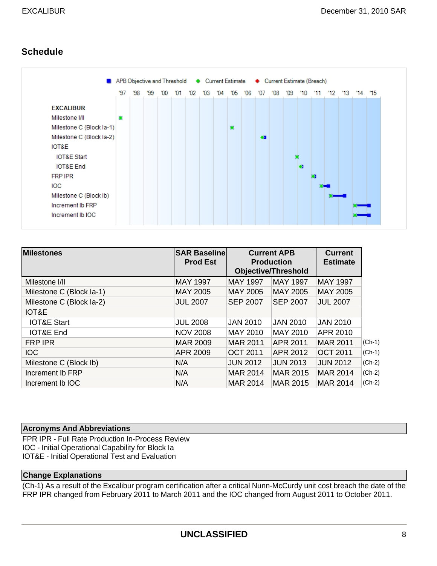## **Schedule**

|                          |     |     |    |     |    |     |    |    |    |    |           | APB Objective and Threshold Current Estimate + Current Estimate (Breach) |     |           |     |              |     |    |    |
|--------------------------|-----|-----|----|-----|----|-----|----|----|----|----|-----------|--------------------------------------------------------------------------|-----|-----------|-----|--------------|-----|----|----|
|                          | '97 | '98 | 99 | '00 | 01 | '02 | 03 | 04 | 05 | 06 | '07       | '08                                                                      | '09 | $10^{-1}$ | '11 | $12^{\circ}$ | '13 | 14 | 15 |
| <b>EXCALIBUR</b>         |     |     |    |     |    |     |    |    |    |    |           |                                                                          |     |           |     |              |     |    |    |
| Milestone I/II           | o   |     |    |     |    |     |    |    |    |    |           |                                                                          |     |           |     |              |     |    |    |
| Milestone C (Block la-1) |     |     |    |     |    |     |    |    | 撇  |    |           |                                                                          |     |           |     |              |     |    |    |
| Milestone C (Block la-2) |     |     |    |     |    |     |    |    |    |    | $\bullet$ |                                                                          |     |           |     |              |     |    |    |
| IOT&E                    |     |     |    |     |    |     |    |    |    |    |           |                                                                          |     |           |     |              |     |    |    |
| <b>IOT&amp;E Start</b>   |     |     |    |     |    |     |    |    |    |    |           |                                                                          |     |           |     |              |     |    |    |
| <b>IOT&amp;E</b> End     |     |     |    |     |    |     |    |    |    |    |           |                                                                          |     | $\bullet$ |     |              |     |    |    |
| <b>FRP IPR</b>           |     |     |    |     |    |     |    |    |    |    |           |                                                                          |     |           | o   |              |     |    |    |
| <b>IOC</b>               |     |     |    |     |    |     |    |    |    |    |           |                                                                          |     |           |     |              |     |    |    |
| Milestone C (Block Ib)   |     |     |    |     |    |     |    |    |    |    |           |                                                                          |     |           |     |              |     |    |    |
| Increment Ib FRP         |     |     |    |     |    |     |    |    |    |    |           |                                                                          |     |           |     |              |     |    |    |
| Increment Ib IOC         |     |     |    |     |    |     |    |    |    |    |           |                                                                          |     |           |     |              |     |    |    |

| <b>Milestones</b>        | <b>SAR Baselinel</b><br><b>Prod Est</b> |                 | <b>Current APB</b><br><b>Production</b><br><b>Objective/Threshold</b> | <b>Current</b><br><b>Estimate</b> |          |
|--------------------------|-----------------------------------------|-----------------|-----------------------------------------------------------------------|-----------------------------------|----------|
| Milestone I/II           | <b>MAY 1997</b>                         | <b>MAY 1997</b> | <b>MAY 1997</b>                                                       | <b>MAY 1997</b>                   |          |
| Milestone C (Block la-1) | <b>MAY 2005</b>                         | <b>MAY 2005</b> | <b>MAY 2005</b>                                                       | <b>MAY 2005</b>                   |          |
| Milestone C (Block la-2) | <b>JUL 2007</b>                         | <b>SEP 2007</b> | <b>SEP 2007</b>                                                       | <b>JUL 2007</b>                   |          |
| IOT&E                    |                                         |                 |                                                                       |                                   |          |
| <b>IOT&amp;E Start</b>   | <b>JUL 2008</b>                         | <b>JAN 2010</b> | <b>JAN 2010</b>                                                       | <b>JAN 2010</b>                   |          |
| <b>IOT&amp;E End</b>     | <b>NOV 2008</b>                         | MAY 2010        | MAY 2010                                                              | APR 2010                          |          |
| <b>FRP IPR</b>           | <b>MAR 2009</b>                         | <b>MAR 2011</b> | APR 2011                                                              | <b>MAR 2011</b>                   | $(Ch-1)$ |
| <b>IOC</b>               | <b>APR 2009</b>                         | <b>OCT 2011</b> | APR 2012                                                              | <b>OCT 2011</b>                   | $(Ch-1)$ |
| Milestone C (Block Ib)   | N/A                                     | <b>JUN 2012</b> | <b>JUN 2013</b>                                                       | <b>JUN 2012</b>                   | $(Ch-2)$ |
| Increment Ib FRP         | N/A                                     | <b>MAR 2014</b> | <b>MAR 2015</b>                                                       | <b>MAR 2014</b>                   | $(Ch-2)$ |
| Increment Ib IOC         | N/A                                     | <b>MAR 2014</b> | <b>MAR 2015</b>                                                       | <b>MAR 2014</b>                   | $(Ch-2)$ |

#### **Acronyms And Abbreviations**

FPR IPR - Full Rate Production In-Process Review IOC - Initial Operational Capability for Block Ia IOT&E - Initial Operational Test and Evaluation

### **Change Explanations**

(Ch-1) As a result of the Excalibur program certification after a critical Nunn-McCurdy unit cost breach the date of the FRP IPR changed from February 2011 to March 2011 and the IOC changed from August 2011 to October 2011.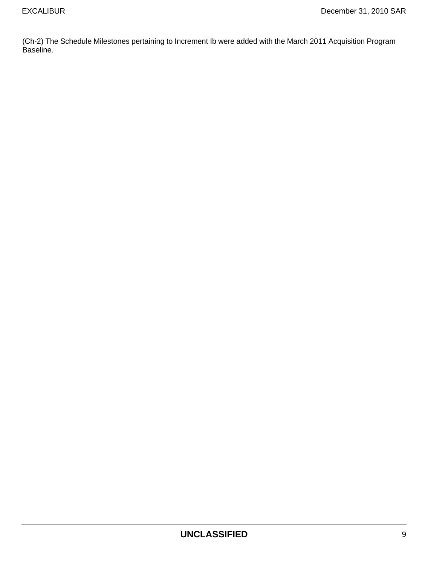(Ch-2) The Schedule Milestones pertaining to Increment Ib were added with the March 2011 Acquisition Program Baseline.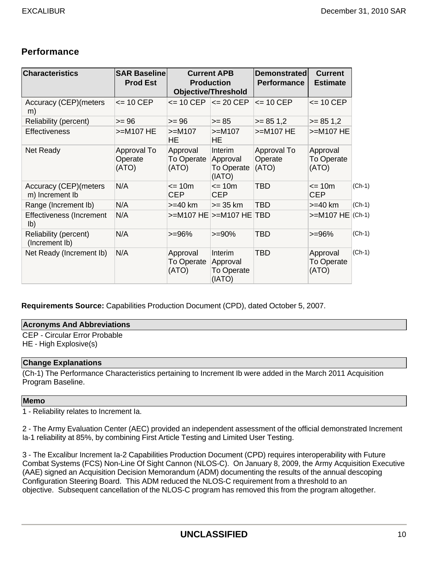### **Performance**

| <b>Characteristics</b>                           | <b>SAR Baselinel</b><br><b>Prod Est</b> |                                        | <b>Current APB</b><br><b>Production</b><br><b>Objective/Threshold</b> | <b>Demonstrated</b><br><b>Performance</b> | <b>Current</b><br><b>Estimate</b>      |          |
|--------------------------------------------------|-----------------------------------------|----------------------------------------|-----------------------------------------------------------------------|-------------------------------------------|----------------------------------------|----------|
| <b>Accuracy (CEP) (meters</b><br>m)              | $\le$ 10 CEP                            | $\leq$ 10 CEP                          | $\leq$ 20 CEP                                                         | $\leq$ 10 CEP                             | $\leq$ 10 CEP                          |          |
| Reliability (percent)                            | $>= 96$                                 | $>= 96$                                | $>= 85$                                                               | $>= 851.2$                                | $>= 851.2$                             |          |
| <b>Effectiveness</b>                             | $>=$ M107 HE                            | $>=M107$<br>HE                         | $>=$ M107<br>HE                                                       | $>=M107 HE$                               | >=M107 HE                              |          |
| Net Ready                                        | Approval To<br>Operate<br>(ATO)         | Approval<br><b>To Operate</b><br>(ATO) | Interim<br>Approval<br><b>To Operate</b><br>(IATO)                    | Approval To<br>Operate<br>(ATO)           | Approval<br>To Operate<br>(ATO)        |          |
| <b>Accuracy (CEP) (meters</b><br>m) Increment Ib | N/A                                     | $\leq$ 10m<br><b>CEP</b>               | $= 10m$<br><b>CEP</b>                                                 | <b>TBD</b>                                | $\leq$ 10m<br><b>CEP</b>               | $(Ch-1)$ |
| Range (Increment Ib)                             | N/A                                     | $>=$ 40 km                             | $>= 35$ km                                                            | <b>TBD</b>                                | $>=$ 40 km                             | $(Ch-1)$ |
| Effectiveness (Increment<br>$\mathsf{lb}$        | N/A                                     |                                        | >=M107 HE  >=M107 HE   TBD                                            |                                           | $>=M107 HE (Ch-1)$                     |          |
| Reliability (percent)<br>(Increment Ib)          | N/A                                     | $>= 96%$                               | $>= 90%$                                                              | <b>TBD</b>                                | $>= 96%$                               | $(Ch-1)$ |
| Net Ready (Increment Ib)                         | N/A                                     | Approval<br>To Operate<br>(ATO)        | Interim<br>Approval<br>To Operate<br>(IATO)                           | <b>TBD</b>                                | Approval<br><b>To Operate</b><br>(ATO) | $(Ch-1)$ |

**Requirements Source:** Capabilities Production Document (CPD), dated October 5, 2007.

#### **Acronyms And Abbreviations**

CEP - Circular Error Probable HE - High Explosive(s)

#### **Change Explanations**

(Ch-1) The Performance Characteristics pertaining to Increment Ib were added in the March 2011 Acquisition Program Baseline.

#### **Memo**

1 - Reliability relates to Increment Ia.

2 - The Army Evaluation Center (AEC) provided an independent assessment of the official demonstrated Increment Ia-1 reliability at 85%, by combining First Article Testing and Limited User Testing.

3 - The Excalibur Increment Ia-2 Capabilities Production Document (CPD) requires interoperability with Future Combat Systems (FCS) Non-Line Of Sight Cannon (NLOS-C). On January 8, 2009, the Army Acquisition Executive (AAE) signed an Acquisition Decision Memorandum (ADM) documenting the results of the annual descoping Configuration Steering Board. This ADM reduced the NLOS-C requirement from a threshold to an objective. Subsequent cancellation of the NLOS-C program has removed this from the program altogether.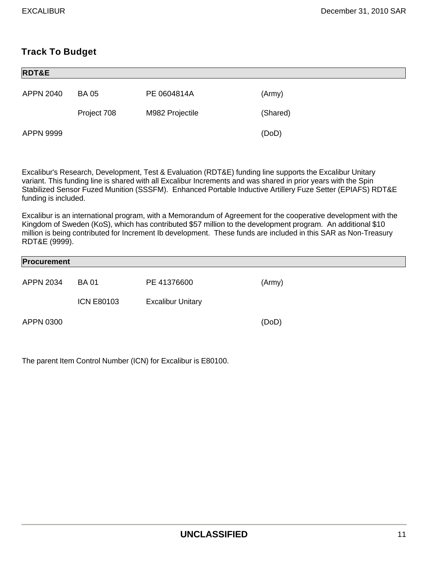## **Track To Budget**

| <b>RDT&amp;E</b> |             |                 |          |  |
|------------------|-------------|-----------------|----------|--|
| <b>APPN 2040</b> | <b>BA05</b> | PE 0604814A     | (Army)   |  |
|                  | Project 708 | M982 Projectile | (Shared) |  |
| <b>APPN 9999</b> |             |                 | (DoD)    |  |

Excalibur's Research, Development, Test & Evaluation (RDT&E) funding line supports the Excalibur Unitary variant. This funding line is shared with all Excalibur Increments and was shared in prior years with the Spin Stabilized Sensor Fuzed Munition (SSSFM). Enhanced Portable Inductive Artillery Fuze Setter (EPIAFS) RDT&E funding is included.

Excalibur is an international program, with a Memorandum of Agreement for the cooperative development with the Kingdom of Sweden (KoS), which has contributed \$57 million to the development program. An additional \$10 million is being contributed for Increment Ib development. These funds are included in this SAR as Non-Treasury RDT&E (9999).

| Procurement |                   |                          |        |
|-------------|-------------------|--------------------------|--------|
| APPN 2034   | <b>BA01</b>       | PE 41376600              | (Army) |
|             | <b>ICN E80103</b> | <b>Excalibur Unitary</b> |        |
| APPN 0300   |                   |                          | (DoD)  |

The parent Item Control Number (ICN) for Excalibur is E80100.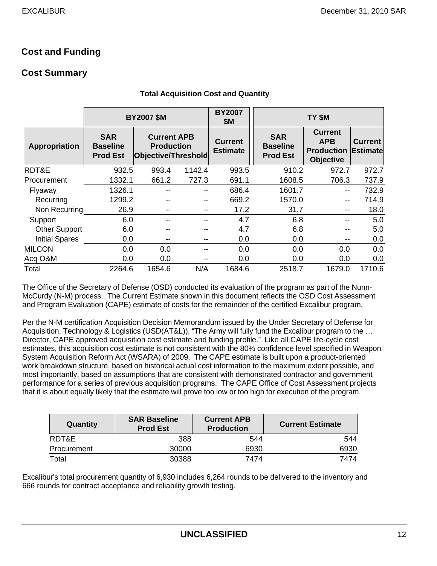## **Cost and Funding**

### **Cost Summary**

|                       |                                                  | <b>BY2007 \$M</b>                                              |        | <b>BY2007</b><br><b>\$M</b>       | TY \$M                                           |                                                                       |                                   |  |  |  |
|-----------------------|--------------------------------------------------|----------------------------------------------------------------|--------|-----------------------------------|--------------------------------------------------|-----------------------------------------------------------------------|-----------------------------------|--|--|--|
| Appropriation         | <b>SAR</b><br><b>Baseline</b><br><b>Prod Est</b> | <b>Current APB</b><br><b>Production</b><br>Objective/Threshold |        | <b>Current</b><br><b>Estimate</b> | <b>SAR</b><br><b>Baseline</b><br><b>Prod Est</b> | <b>Current</b><br><b>APB</b><br><b>Production</b><br><b>Objective</b> | <b>Current</b><br><b>Estimate</b> |  |  |  |
| RDT&E                 | 932.5                                            | 993.4                                                          | 1142.4 | 993.5                             | 910.2                                            | 972.7                                                                 | 972.7                             |  |  |  |
| Procurement           | 1332.1                                           | 661.2                                                          | 727.3  | 691.1                             | 1608.5                                           | 706.3                                                                 | 737.9                             |  |  |  |
| Flyaway               | 1326.1                                           |                                                                |        | 686.4                             | 1601.7                                           | $-$                                                                   | 732.9                             |  |  |  |
| Recurring             | 1299.2                                           |                                                                | --     | 669.2                             | 1570.0                                           | --                                                                    | 714.9                             |  |  |  |
| Non Recurring         | 26.9                                             |                                                                | $-$    | 17.2                              | 31.7                                             | $- -$                                                                 | 18.0                              |  |  |  |
| Support               | 6.0                                              |                                                                | --     | 4.7                               | 6.8                                              | --                                                                    | 5.0                               |  |  |  |
| <b>Other Support</b>  | 6.0                                              |                                                                |        | 4.7                               | 6.8                                              |                                                                       | 5.0                               |  |  |  |
| <b>Initial Spares</b> | 0.0                                              |                                                                | $- -$  | 0.0                               | 0.0                                              | --                                                                    | 0.0                               |  |  |  |
| <b>MILCON</b>         | 0.0                                              | 0.0                                                            |        | 0.0                               | 0.0                                              | 0.0                                                                   | 0.0                               |  |  |  |
| Acq O&M               | 0.0                                              | 0.0                                                            |        | 0.0                               | 0.0                                              | 0.0                                                                   | 0.0                               |  |  |  |
| Total                 | 2264.6                                           | 1654.6                                                         | N/A    | 1684.6                            | 2518.7                                           | 1679.0                                                                | 1710.6                            |  |  |  |

#### **Total Acquisition Cost and Quantity**

The Office of the Secretary of Defense (OSD) conducted its evaluation of the program as part of the Nunn-McCurdy (N-M) process. The Current Estimate shown in this document reflects the OSD Cost Assessment and Program Evaluation (CAPE) estimate of costs for the remainder of the certified Excalibur program.

Per the N-M certification Acquisition Decision Memorandum issued by the Under Secretary of Defense for Acquisition, Technology & Logistics (USD(AT&L)), "The Army will fully fund the Excalibur program to the … Director, CAPE approved acquisition cost estimate and funding profile." Like all CAPE life-cycle cost estimates, this acquisition cost estimate is not consistent with the 80% confidence level specified in Weapon System Acquisition Reform Act (WSARA) of 2009. The CAPE estimate is built upon a product-oriented work breakdown structure, based on historical actual cost information to the maximum extent possible, and most importantly, based on assumptions that are consistent with demonstrated contractor and government performance for a series of previous acquisition programs. The CAPE Office of Cost Assessment projects that it is about equally likely that the estimate will prove too low or too high for execution of the program.

| Quantity    | <b>SAR Baseline</b><br><b>Prod Est</b> | <b>Current APB</b><br><b>Production</b> | <b>Current Estimate</b> |
|-------------|----------------------------------------|-----------------------------------------|-------------------------|
| RDT&E       | 388                                    | 544                                     | 544                     |
| Procurement | 30000                                  | 6930                                    | 6930                    |
| Total       | 30388                                  | 7474                                    | 7474                    |

Excalibur's total procurement quantity of 6,930 includes 6,264 rounds to be delivered to the inventory and 666 rounds for contract acceptance and reliability growth testing.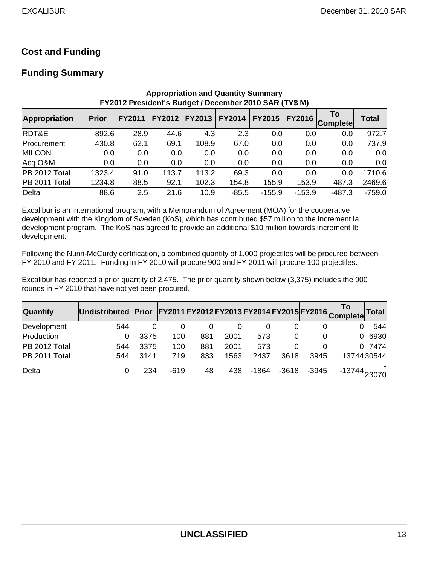## **Cost and Funding**

### **Funding Summary**

|                      |              |               |       | FY2012 President's Budget / December 2010 SAR (TY\$ M) |               |               |          |                |              |
|----------------------|--------------|---------------|-------|--------------------------------------------------------|---------------|---------------|----------|----------------|--------------|
| <b>Appropriation</b> | <b>Prior</b> | <b>FY2011</b> |       | FY2012   FY2013                                        | <b>FY2014</b> | <b>FY2015</b> | FY2016   | To<br>Complete | <b>Total</b> |
| RDT&E                | 892.6        | 28.9          | 44.6  | 4.3                                                    | 2.3           | 0.0           | 0.0      | 0.0            | 972.7        |
| Procurement          | 430.8        | 62.1          | 69.1  | 108.9                                                  | 67.0          | 0.0           | 0.0      | 0.0            | 737.9        |
| <b>MILCON</b>        | 0.0          | 0.0           | 0.0   | 0.0                                                    | 0.0           | 0.0           | 0.0      | 0.0            | 0.0          |
| Acq O&M              | 0.0          | 0.0           | 0.0   | 0.0                                                    | 0.0           | 0.0           | 0.0      | 0.0            | 0.0          |
| PB 2012 Total        | 1323.4       | 91.0          | 113.7 | 113.2                                                  | 69.3          | 0.0           | 0.0      | 0.0            | 1710.6       |
| PB 2011 Total        | 1234.8       | 88.5          | 92.1  | 102.3                                                  | 154.8         | 155.9         | 153.9    | 487.3          | 2469.6       |
| Delta                | 88.6         | 2.5           | 21.6  | 10.9                                                   | $-85.5$       | $-155.9$      | $-153.9$ | $-487.3$       | $-759.0$     |

**Appropriation and Quantity Summary FY2012 President's Budget / December 2010 SAR (TY\$ M)**

Excalibur is an international program, with a Memorandum of Agreement (MOA) for the cooperative development with the Kingdom of Sweden (KoS), which has contributed \$57 million to the Increment Ia development program. The KoS has agreed to provide an additional \$10 million towards Increment Ib development.

Following the Nunn-McCurdy certification, a combined quantity of 1,000 projectiles will be procured between FY 2010 and FY 2011. Funding in FY 2010 will procure 900 and FY 2011 will procure 100 projectiles.

Excalibur has reported a prior quantity of 2,475. The prior quantity shown below (3,375) includes the 900 rounds in FY 2010 that have not yet been procured.

| <b>Quantity</b> | <b>Undistributed</b> | <b>Prior</b> |        |     |      |       |         |         | FY2011 FY2012 FY2013 FY2014 FY2015 FY2016 Complete | <b>Total</b> |
|-----------------|----------------------|--------------|--------|-----|------|-------|---------|---------|----------------------------------------------------|--------------|
| Development     | 544                  |              |        |     |      |       | 0       |         |                                                    | 544          |
| Production      | 0                    | 3375         | 100    | 881 | 2001 | 573   | 0       |         | 0                                                  | 6930         |
| PB 2012 Total   | 544                  | 3375         | 100    | 881 | 2001 | 573   | 0       |         | 0                                                  | 7474         |
| PB 2011 Total   | 544                  | 3141         | 719    | 833 | 1563 | 2437  | 3618    | 3945    |                                                    | 1374430544   |
| Delta           |                      | 234          | $-619$ | 48  | 438  | -1864 | $-3618$ | $-3945$ | -13744 <sub>23070</sub>                            |              |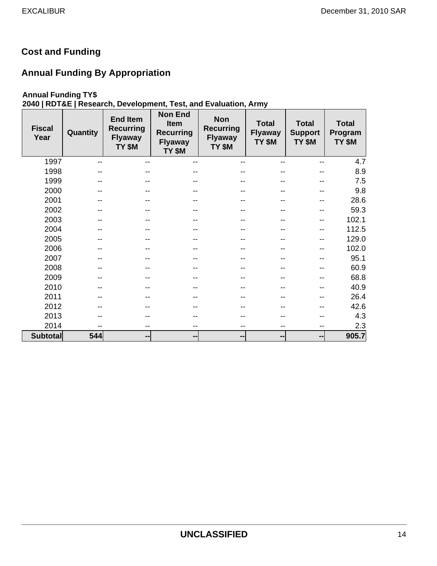## **Cost and Funding**

## **Annual Funding By Appropriation**

### **Annual Funding TY\$**

## **2040 | RDT&E | Research, Development, Test, and Evaluation, Army**

| <b>Fiscal</b><br>Year | Quantity | <b>End Item</b><br><b>Recurring</b><br><b>Flyaway</b><br>TY \$M | <b>Non End</b><br><b>Item</b><br><b>Recurring</b><br><b>Flyaway</b><br>TY \$M | <b>Non</b><br><b>Recurring</b><br><b>Flyaway</b><br>TY \$M | <b>Total</b><br><b>Flyaway</b><br>TY \$M | <b>Total</b><br><b>Support</b><br>TY \$M | <b>Total</b><br>Program<br>TY \$M |
|-----------------------|----------|-----------------------------------------------------------------|-------------------------------------------------------------------------------|------------------------------------------------------------|------------------------------------------|------------------------------------------|-----------------------------------|
| 1997                  | --       | $-$                                                             | $-$                                                                           |                                                            | --                                       |                                          | 4.7                               |
| 1998                  |          |                                                                 |                                                                               |                                                            |                                          |                                          | 8.9                               |
| 1999                  |          |                                                                 |                                                                               |                                                            |                                          |                                          | 7.5                               |
| 2000                  |          | --                                                              |                                                                               |                                                            |                                          |                                          | 9.8                               |
| 2001                  |          |                                                                 |                                                                               |                                                            |                                          | --                                       | 28.6                              |
| 2002                  |          |                                                                 |                                                                               |                                                            | --                                       |                                          | 59.3                              |
| 2003                  |          |                                                                 |                                                                               |                                                            |                                          |                                          | 102.1                             |
| 2004                  |          | --                                                              |                                                                               |                                                            | --                                       |                                          | 112.5                             |
| 2005                  |          |                                                                 |                                                                               |                                                            |                                          | --                                       | 129.0                             |
| 2006                  |          | --                                                              |                                                                               |                                                            |                                          |                                          | 102.0                             |
| 2007                  |          |                                                                 |                                                                               |                                                            | --                                       |                                          | 95.1                              |
| 2008                  |          |                                                                 |                                                                               |                                                            |                                          |                                          | 60.9                              |
| 2009                  |          |                                                                 |                                                                               |                                                            | --                                       |                                          | 68.8                              |
| 2010                  |          | --                                                              |                                                                               |                                                            |                                          |                                          | 40.9                              |
| 2011                  |          |                                                                 |                                                                               |                                                            |                                          |                                          | 26.4                              |
| 2012                  |          |                                                                 |                                                                               |                                                            |                                          |                                          | 42.6                              |
| 2013                  |          |                                                                 |                                                                               |                                                            |                                          |                                          | 4.3                               |
| 2014                  | --       | $- -$                                                           | --                                                                            | --                                                         | $\qquad \qquad -$                        | $-$                                      | 2.3                               |
| <b>Subtotal</b>       | 544      | $\qquad \qquad \blacksquare$                                    | --                                                                            | --                                                         | --                                       | $\blacksquare$                           | 905.7                             |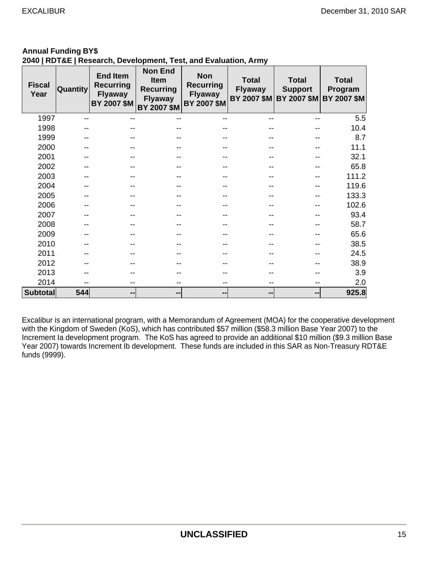## **Annual Funding BY\$**

### **2040 | RDT&E | Research, Development, Test, and Evaluation, Army**

| <b>Fiscal</b><br>Year | Quantity | <b>End Item</b><br><b>Recurring</b><br><b>Flyaway</b><br>BY 2007 \$M | <b>Non End</b><br>Item<br><b>Recurring</b><br><b>Flyaway</b><br>BY 2007 \$M | <b>Non</b><br><b>Recurring</b><br><b>Flyaway</b><br><b>BY 2007 \$M</b> | <b>Total</b><br><b>Flyaway</b> | <b>Total</b><br><b>Support</b><br>BY 2007 \$M BY 2007 \$M BY 2007 \$M | <b>Total</b><br>Program |
|-----------------------|----------|----------------------------------------------------------------------|-----------------------------------------------------------------------------|------------------------------------------------------------------------|--------------------------------|-----------------------------------------------------------------------|-------------------------|
| 1997                  |          |                                                                      |                                                                             |                                                                        |                                |                                                                       | 5.5                     |
| 1998                  |          |                                                                      |                                                                             |                                                                        |                                |                                                                       | 10.4                    |
| 1999                  |          |                                                                      |                                                                             |                                                                        |                                |                                                                       | 8.7                     |
| 2000                  |          |                                                                      |                                                                             |                                                                        |                                |                                                                       | 11.1                    |
| 2001                  |          |                                                                      |                                                                             |                                                                        |                                |                                                                       | 32.1                    |
| 2002                  |          |                                                                      |                                                                             |                                                                        |                                |                                                                       | 65.8                    |
| 2003                  |          |                                                                      |                                                                             |                                                                        |                                |                                                                       | 111.2                   |
| 2004                  |          |                                                                      |                                                                             |                                                                        |                                |                                                                       | 119.6                   |
| 2005                  |          |                                                                      |                                                                             |                                                                        |                                |                                                                       | 133.3                   |
| 2006                  |          |                                                                      |                                                                             |                                                                        |                                |                                                                       | 102.6                   |
| 2007                  |          |                                                                      |                                                                             |                                                                        |                                |                                                                       | 93.4                    |
| 2008                  |          |                                                                      |                                                                             |                                                                        |                                |                                                                       | 58.7                    |
| 2009                  |          |                                                                      |                                                                             |                                                                        |                                |                                                                       | 65.6                    |
| 2010                  |          |                                                                      |                                                                             |                                                                        |                                |                                                                       | 38.5                    |
| 2011                  |          |                                                                      |                                                                             |                                                                        |                                |                                                                       | 24.5                    |
| 2012                  |          |                                                                      |                                                                             |                                                                        |                                |                                                                       | 38.9                    |
| 2013                  |          |                                                                      |                                                                             |                                                                        |                                |                                                                       | 3.9                     |
| 2014                  |          |                                                                      |                                                                             |                                                                        |                                |                                                                       | 2.0                     |
| <b>Subtotal</b>       | 544      | --                                                                   | --                                                                          | --                                                                     | $\sim$                         | --                                                                    | 925.8                   |

Excalibur is an international program, with a Memorandum of Agreement (MOA) for the cooperative development with the Kingdom of Sweden (KoS), which has contributed \$57 million (\$58.3 million Base Year 2007) to the Increment Ia development program. The KoS has agreed to provide an additional \$10 million (\$9.3 million Base Year 2007) towards Increment Ib development. These funds are included in this SAR as Non-Treasury RDT&E funds (9999).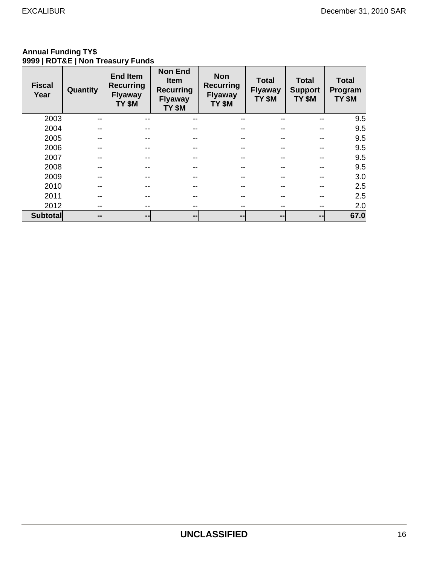#### **Annual Funding TY\$ 9999 | RDT&E | Non Treasury Funds**

| <b>Fiscal</b><br>Year | Quantity | <b>End Item</b><br><b>Recurring</b><br><b>Flyaway</b><br>TY \$M | <b>Non End</b><br><b>Item</b><br><b>Recurring</b><br><b>Flyaway</b><br>TY \$M | <b>Non</b><br><b>Recurring</b><br><b>Flyaway</b><br>TY \$M | <b>Total</b><br><b>Flyaway</b><br>TY \$M | <b>Total</b><br><b>Support</b><br>TY \$M | <b>Total</b><br>Program<br>TY \$M |
|-----------------------|----------|-----------------------------------------------------------------|-------------------------------------------------------------------------------|------------------------------------------------------------|------------------------------------------|------------------------------------------|-----------------------------------|
| 2003                  |          | $- -$                                                           |                                                                               |                                                            | --                                       |                                          | 9.5                               |
| 2004                  |          | $- -$                                                           |                                                                               |                                                            | --                                       |                                          | 9.5                               |
| 2005                  | --       | $- -$                                                           |                                                                               |                                                            | --                                       | --                                       | 9.5                               |
| 2006                  |          | --                                                              |                                                                               |                                                            | --                                       |                                          | 9.5                               |
| 2007                  | --       | $- -$                                                           |                                                                               |                                                            | --                                       |                                          | 9.5                               |
| 2008                  | --       | $- -$                                                           |                                                                               |                                                            | --                                       |                                          | 9.5                               |
| 2009                  |          | --                                                              |                                                                               |                                                            | --                                       |                                          | 3.0                               |
| 2010                  | --       | $- -$                                                           |                                                                               |                                                            | --                                       | --                                       | 2.5                               |
| 2011                  | --       | --                                                              |                                                                               |                                                            | --                                       |                                          | 2.5                               |
| 2012                  | --       | $- -$                                                           |                                                                               |                                                            | $- -$                                    |                                          | 2.0                               |
| <b>Subtotal</b>       | --       | --                                                              | $\overline{\phantom{m}}$                                                      | --                                                         | $\sim$                                   | --                                       | 67.0                              |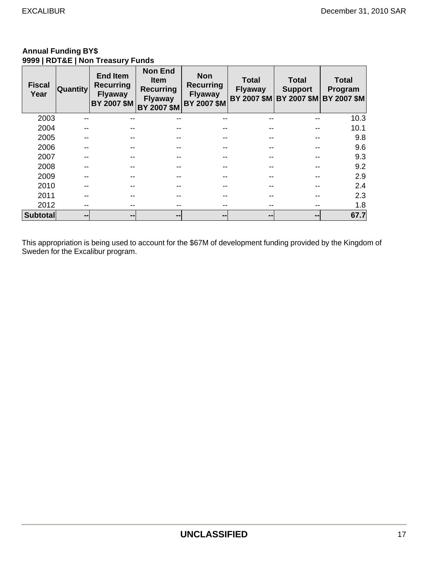#### **Annual Funding BY\$ 9999 | RDT&E | Non Treasury Funds**

| <b>Fiscal</b><br>Year | <b>Quantity</b> | <b>End Item</b><br><b>Recurring</b><br><b>Flyaway</b><br>BY 2007 \$M | <b>Non End</b><br><b>Item</b><br><b>Recurring</b><br><b>Flyaway</b><br>BY 2007 \$M | <b>Non</b><br><b>Recurring</b><br><b>Flyaway</b><br>BY 2007 \$M | <b>Total</b><br><b>Flyaway</b> | <b>Total</b><br><b>Support</b><br>BY 2007 \$M BY 2007 \$M BY 2007 \$M | <b>Total</b><br>Program |
|-----------------------|-----------------|----------------------------------------------------------------------|------------------------------------------------------------------------------------|-----------------------------------------------------------------|--------------------------------|-----------------------------------------------------------------------|-------------------------|
| 2003                  |                 |                                                                      |                                                                                    |                                                                 |                                |                                                                       | 10.3                    |
| 2004                  |                 |                                                                      |                                                                                    |                                                                 |                                |                                                                       | 10.1                    |
| 2005                  |                 |                                                                      |                                                                                    |                                                                 |                                |                                                                       | 9.8                     |
| 2006                  |                 |                                                                      |                                                                                    |                                                                 |                                |                                                                       | 9.6                     |
| 2007                  |                 |                                                                      |                                                                                    |                                                                 |                                |                                                                       | 9.3                     |
| 2008                  |                 |                                                                      |                                                                                    |                                                                 |                                |                                                                       | 9.2                     |
| 2009                  |                 |                                                                      |                                                                                    |                                                                 |                                |                                                                       | 2.9                     |
| 2010                  |                 |                                                                      |                                                                                    |                                                                 |                                |                                                                       | 2.4                     |
| 2011                  |                 |                                                                      |                                                                                    |                                                                 |                                |                                                                       | 2.3                     |
| 2012                  |                 |                                                                      |                                                                                    |                                                                 |                                |                                                                       | 1.8                     |
| <b>Subtotal</b>       | --              | --                                                                   | --                                                                                 | $\qquad \qquad \blacksquare$                                    | $\sim$                         | --                                                                    | 67.7                    |

This appropriation is being used to account for the \$67M of development funding provided by the Kingdom of Sweden for the Excalibur program.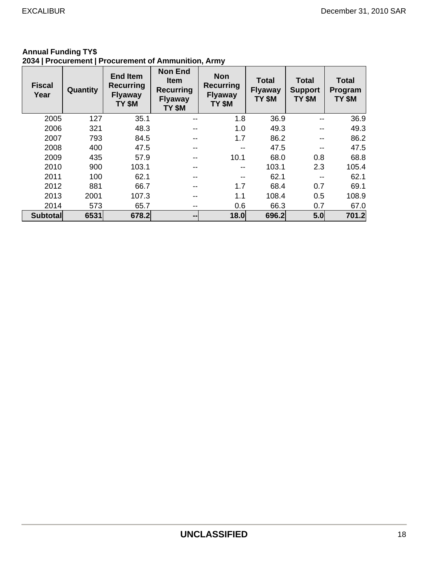| <b>Fiscal</b><br>Year | Quantity | <b>End Item</b><br><b>Recurring</b><br><b>Flyaway</b><br>TY \$M | <b>Non End</b><br><b>Item</b><br><b>Recurring</b><br><b>Flyaway</b><br>TY \$M | <b>Non</b><br><b>Recurring</b><br><b>Flyaway</b><br>TY \$M | <b>Total</b><br><b>Flyaway</b><br>TY \$M | <b>Total</b><br><b>Support</b><br>TY \$M | <b>Total</b><br>Program<br>TY \$M |
|-----------------------|----------|-----------------------------------------------------------------|-------------------------------------------------------------------------------|------------------------------------------------------------|------------------------------------------|------------------------------------------|-----------------------------------|
| 2005                  | 127      | 35.1                                                            | $- -$                                                                         | 1.8                                                        | 36.9                                     | $- -$                                    | 36.9                              |
| 2006                  | 321      | 48.3                                                            | $- -$                                                                         | 1.0                                                        | 49.3                                     |                                          | 49.3                              |
| 2007                  | 793      | 84.5                                                            | --                                                                            | 1.7                                                        | 86.2                                     | $- -$                                    | 86.2                              |
| 2008                  | 400      | 47.5                                                            | --                                                                            |                                                            | 47.5                                     |                                          | 47.5                              |
| 2009                  | 435      | 57.9                                                            | $- -$                                                                         | 10.1                                                       | 68.0                                     | 0.8                                      | 68.8                              |
| 2010                  | 900      | 103.1                                                           | --                                                                            | --                                                         | 103.1                                    | 2.3                                      | 105.4                             |
| 2011                  | 100      | 62.1                                                            | --                                                                            |                                                            | 62.1                                     |                                          | 62.1                              |
| 2012                  | 881      | 66.7                                                            | $- -$                                                                         | 1.7                                                        | 68.4                                     | 0.7                                      | 69.1                              |
| 2013                  | 2001     | 107.3                                                           |                                                                               | 1.1                                                        | 108.4                                    | 0.5                                      | 108.9                             |
| 2014                  | 573      | 65.7                                                            | $- -$                                                                         | 0.6                                                        | 66.3                                     | 0.7                                      | 67.0                              |
| <b>Subtotal</b>       | 6531     | 678.2                                                           | $-1$                                                                          | 18.0                                                       | 696.2                                    | 5.0                                      | 701.2                             |

#### **Annual Funding TY\$ 2034 | Procurement | Procurement of Ammunition, Army**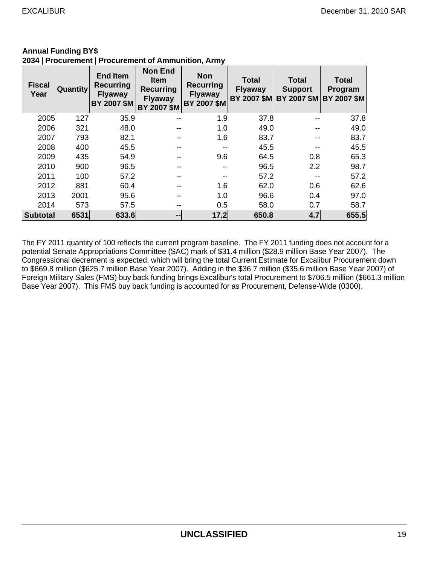| <b>Fiscal</b><br>Year | Quantity | <b>End Item</b><br><b>Recurring</b><br><b>Flyaway</b><br><b>BY 2007 \$M</b> | <b>Non End</b><br><b>Item</b><br>Recurring<br><b>Flyaway</b><br>BY 2007 \$M | <b>Non</b><br><b>Recurring</b><br><b>Flyaway</b><br><b>BY 2007 \$M</b> | <b>Total</b><br><b>Flyaway</b> | <b>Total</b><br><b>Support</b><br>BY 2007 \$M BY 2007 \$M | <b>Total</b><br>Program<br><b>BY 2007 \$M</b> |
|-----------------------|----------|-----------------------------------------------------------------------------|-----------------------------------------------------------------------------|------------------------------------------------------------------------|--------------------------------|-----------------------------------------------------------|-----------------------------------------------|
| 2005                  | 127      | 35.9                                                                        | --                                                                          | 1.9                                                                    | 37.8                           |                                                           | 37.8                                          |
| 2006                  | 321      | 48.0                                                                        | --                                                                          | 1.0                                                                    | 49.0                           |                                                           | 49.0                                          |
| 2007                  | 793      | 82.1                                                                        | --                                                                          | 1.6                                                                    | 83.7                           |                                                           | 83.7                                          |
| 2008                  | 400      | 45.5                                                                        | --                                                                          | --                                                                     | 45.5                           |                                                           | 45.5                                          |
| 2009                  | 435      | 54.9                                                                        | --                                                                          | 9.6                                                                    | 64.5                           | 0.8                                                       | 65.3                                          |
| 2010                  | 900      | 96.5                                                                        | --                                                                          | $- -$                                                                  | 96.5                           | 2.2                                                       | 98.7                                          |
| 2011                  | 100      | 57.2                                                                        | --                                                                          | --                                                                     | 57.2                           |                                                           | 57.2                                          |
| 2012                  | 881      | 60.4                                                                        | --                                                                          | 1.6                                                                    | 62.0                           | 0.6                                                       | 62.6                                          |
| 2013                  | 2001     | 95.6                                                                        | --                                                                          | 1.0                                                                    | 96.6                           | 0.4                                                       | 97.0                                          |
| 2014                  | 573      | 57.5                                                                        | --                                                                          | 0.5                                                                    | 58.0                           | 0.7                                                       | 58.7                                          |
| <b>Subtotal</b>       | 6531     | 633.6                                                                       | --                                                                          | 17.2                                                                   | 650.8                          | 4.7                                                       | 655.5                                         |

#### **Annual Funding BY\$ 2034 | Procurement | Procurement of Ammunition, Army**

The FY 2011 quantity of 100 reflects the current program baseline. The FY 2011 funding does not account for a potential Senate Appropriations Committee (SAC) mark of \$31.4 million (\$28.9 million Base Year 2007). The Congressional decrement is expected, which will bring the total Current Estimate for Excalibur Procurement down to \$669.8 million (\$625.7 million Base Year 2007). Adding in the \$36.7 million (\$35.6 million Base Year 2007) of Foreign Military Sales (FMS) buy back funding brings Excalibur's total Procurement to \$706.5 million (\$661.3 million Base Year 2007). This FMS buy back funding is accounted for as Procurement, Defense-Wide (0300).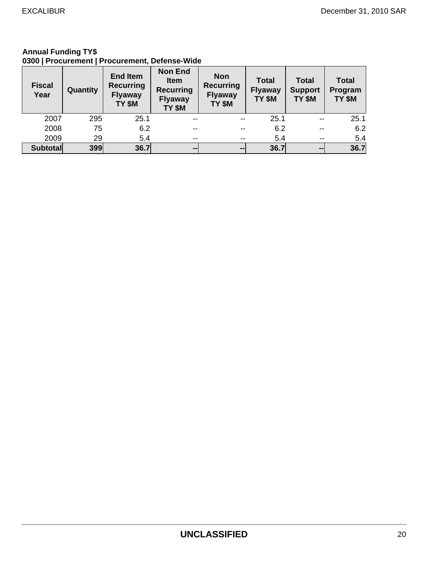#### **Annual Funding TY\$ 0300 | Procurement | Procurement, Defense-Wide**

| <b>Fiscal</b><br>Year | Quantity | <b>End Item</b><br><b>Recurring</b><br><b>Flyaway</b><br>TY \$M | <b>Non End</b><br><b>Item</b><br><b>Recurring</b><br><b>Flyaway</b><br>TY \$M | <b>Non</b><br><b>Recurring</b><br><b>Flyaway</b><br>TY \$M | <b>Total</b><br><b>Flyaway</b><br>TY \$M | <b>Total</b><br><b>Support</b><br>TY \$M | <b>Total</b><br>Program<br>TY \$M |
|-----------------------|----------|-----------------------------------------------------------------|-------------------------------------------------------------------------------|------------------------------------------------------------|------------------------------------------|------------------------------------------|-----------------------------------|
| 2007                  | 295      | 25.1                                                            | $- -$                                                                         | $\overline{\phantom{a}}$                                   | 25.1                                     | $-$                                      | 25.1                              |
| 2008                  | 75       | 6.2                                                             | $- -$                                                                         | --                                                         | 6.2                                      | $- -$                                    | 6.2                               |
| 2009                  | 29       | 5.4                                                             | $- -$                                                                         | $\overline{\phantom{m}}$                                   | 5.4                                      | $- -$                                    | 5.4                               |
| <b>Subtotal</b>       | 399      | 36.7                                                            | $\sim$ $\sim$                                                                 | $\sim$ $\sim$                                              | 36.7                                     | $\sim$                                   | 36.7                              |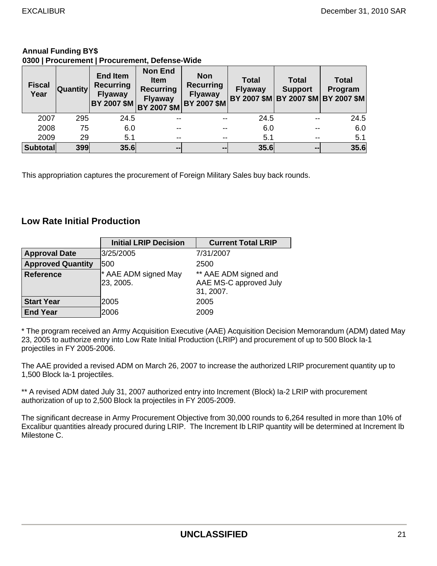#### **Annual Funding BY\$ 0300 | Procurement | Procurement, Defense-Wide**

| <b>Fiscal</b><br>Year | <b>Quantity</b> | <b>End Item</b><br><b>Recurring</b><br><b>Flyaway</b><br>BY 2007 \$M | <b>Non End</b><br><b>Item</b><br><b>Recurring</b><br><b>Flyaway</b><br>BY 2007 \$M | <b>Non</b><br><b>Recurring</b><br><b>Flyaway</b><br><b>BY 2007 \$M</b> | <b>Total</b><br><b>Flyaway</b> | <b>Total</b><br><b>Support</b> | <b>Total</b><br>Program<br>BY 2007 \$M BY 2007 \$M BY 2007 \$M |
|-----------------------|-----------------|----------------------------------------------------------------------|------------------------------------------------------------------------------------|------------------------------------------------------------------------|--------------------------------|--------------------------------|----------------------------------------------------------------|
| 2007                  | 295             | 24.5                                                                 | $- -$                                                                              |                                                                        | 24.5                           | --                             | 24.5                                                           |
| 2008                  | 75              | 6.0                                                                  |                                                                                    |                                                                        | 6.0                            |                                | 6.0                                                            |
| 2009                  | 29              | 5.1                                                                  | $- -$                                                                              |                                                                        | 5.1                            | --                             | 5.1                                                            |
| <b>Subtotal</b>       | 399             | 35.6                                                                 | $-1$                                                                               | $\sim$ $\sim$                                                          | 35.6                           | --                             | 35.6                                                           |

This appropriation captures the procurement of Foreign Military Sales buy back rounds.

### **Low Rate Initial Production**

|                          | <b>Initial LRIP Decision</b>      | <b>Current Total LRIP</b>                                    |
|--------------------------|-----------------------------------|--------------------------------------------------------------|
| <b>Approval Date</b>     | 3/25/2005                         | 7/31/2007                                                    |
| <b>Approved Quantity</b> | 1500                              | 2500                                                         |
| <b>Reference</b>         | * AAE ADM signed May<br>23, 2005. | ** AAE ADM signed and<br>AAE MS-C approved July<br>31, 2007. |
| <b>Start Year</b>        | 2005                              | 2005                                                         |
| <b>End Year</b>          | 2006                              | 2009                                                         |

\* The program received an Army Acquisition Executive (AAE) Acquisition Decision Memorandum (ADM) dated May 23, 2005 to authorize entry into Low Rate Initial Production (LRIP) and procurement of up to 500 Block Ia-1 projectiles in FY 2005-2006.

The AAE provided a revised ADM on March 26, 2007 to increase the authorized LRIP procurement quantity up to 1,500 Block Ia-1 projectiles.

\*\* A revised ADM dated July 31, 2007 authorized entry into Increment (Block) Ia-2 LRIP with procurement authorization of up to 2,500 Block Ia projectiles in FY 2005-2009.

The significant decrease in Army Procurement Objective from 30,000 rounds to 6,264 resulted in more than 10% of Excalibur quantities already procured during LRIP. The Increment Ib LRIP quantity will be determined at Increment Ib Milestone C.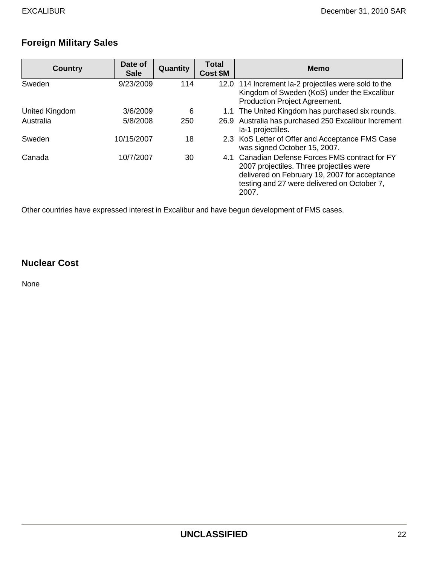# **Foreign Military Sales**

| <b>Country</b> | Date of<br><b>Sale</b> | Quantity | <b>Total</b><br><b>Cost \$M</b> | <b>Memo</b>                                                                                                                                                                                          |
|----------------|------------------------|----------|---------------------------------|------------------------------------------------------------------------------------------------------------------------------------------------------------------------------------------------------|
| Sweden         | 9/23/2009              | 114      |                                 | 12.0 114 Increment la-2 projectiles were sold to the<br>Kingdom of Sweden (KoS) under the Excalibur<br>Production Project Agreement.                                                                 |
| United Kingdom | 3/6/2009               | 6        |                                 | 1.1 The United Kingdom has purchased six rounds.                                                                                                                                                     |
| Australia      | 5/8/2008               | 250      |                                 | 26.9 Australia has purchased 250 Excalibur Increment<br>la-1 projectiles.                                                                                                                            |
| Sweden         | 10/15/2007             | 18       |                                 | 2.3 KoS Letter of Offer and Acceptance FMS Case<br>was signed October 15, 2007.                                                                                                                      |
| Canada         | 10/7/2007              | 30       |                                 | 4.1 Canadian Defense Forces FMS contract for FY<br>2007 projectiles. Three projectiles were<br>delivered on February 19, 2007 for acceptance<br>testing and 27 were delivered on October 7,<br>2007. |

Other countries have expressed interest in Excalibur and have begun development of FMS cases.

## **Nuclear Cost**

None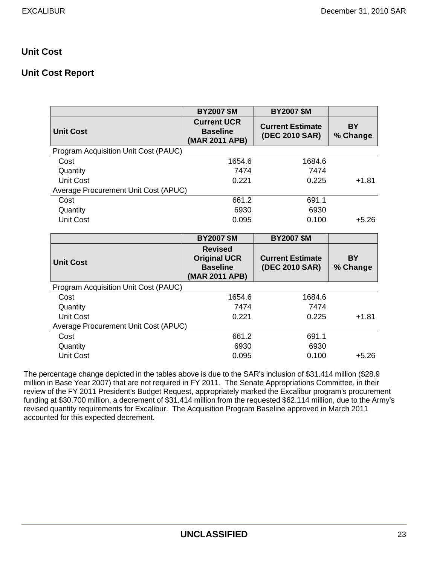## **Unit Cost**

## **Unit Cost Report**

|                                      | <b>BY2007 \$M</b>                                                          | <b>BY2007 \$M</b>                         |                       |
|--------------------------------------|----------------------------------------------------------------------------|-------------------------------------------|-----------------------|
| <b>Unit Cost</b>                     | <b>Current UCR</b><br><b>Baseline</b><br>(MAR 2011 APB)                    | <b>Current Estimate</b><br>(DEC 2010 SAR) | <b>BY</b><br>% Change |
| Program Acquisition Unit Cost (PAUC) |                                                                            |                                           |                       |
| Cost                                 | 1654.6                                                                     | 1684.6                                    |                       |
| Quantity                             | 7474                                                                       | 7474                                      |                       |
| <b>Unit Cost</b>                     | 0.221                                                                      | 0.225                                     | $+1.81$               |
| Average Procurement Unit Cost (APUC) |                                                                            |                                           |                       |
| Cost                                 | 661.2                                                                      | 691.1                                     |                       |
| Quantity                             | 6930                                                                       | 6930                                      |                       |
| <b>Unit Cost</b>                     | 0.095                                                                      | 0.100                                     | $+5.26$               |
|                                      |                                                                            |                                           |                       |
|                                      |                                                                            |                                           |                       |
|                                      | <b>BY2007 \$M</b>                                                          | <b>BY2007 \$M</b>                         |                       |
| <b>Unit Cost</b>                     | <b>Revised</b><br><b>Original UCR</b><br><b>Baseline</b><br>(MAR 2011 APB) | <b>Current Estimate</b><br>(DEC 2010 SAR) | <b>BY</b><br>% Change |
| Program Acquisition Unit Cost (PAUC) |                                                                            |                                           |                       |
| Cost                                 | 1654.6                                                                     | 1684.6                                    |                       |
| Quantity                             | 7474                                                                       | 7474                                      |                       |
| <b>Unit Cost</b>                     | 0.221                                                                      | 0.225                                     | $+1.81$               |
| Average Procurement Unit Cost (APUC) |                                                                            |                                           |                       |
| Cost                                 | 661.2                                                                      | 691.1                                     |                       |
| Quantity                             | 6930                                                                       | 6930                                      |                       |

The percentage change depicted in the tables above is due to the SAR's inclusion of \$31.414 million (\$28.9 million in Base Year 2007) that are not required in FY 2011. The Senate Appropriations Committee, in their review of the FY 2011 President's Budget Request, appropriately marked the Excalibur program's procurement funding at \$30.700 million, a decrement of \$31.414 million from the requested \$62.114 million, due to the Army's revised quantity requirements for Excalibur. The Acquisition Program Baseline approved in March 2011 accounted for this expected decrement.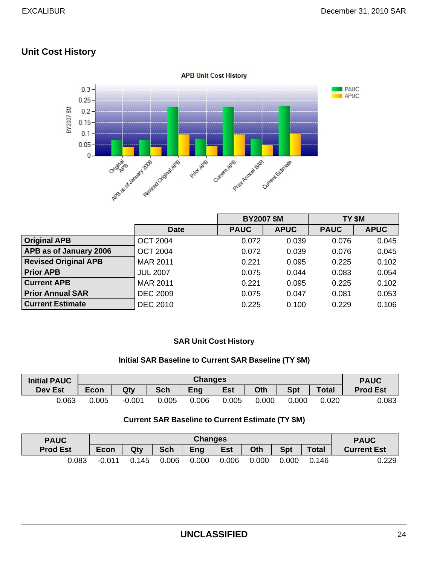## **Unit Cost History**



|                             |                 | <b>BY2007 \$M</b> |             | TY \$M      |             |
|-----------------------------|-----------------|-------------------|-------------|-------------|-------------|
|                             | <b>Date</b>     | <b>PAUC</b>       | <b>APUC</b> | <b>PAUC</b> | <b>APUC</b> |
| <b>Original APB</b>         | <b>OCT 2004</b> | 0.072             | 0.039       | 0.076       | 0.045       |
| APB as of January 2006      | <b>OCT 2004</b> | 0.072             | 0.039       | 0.076       | 0.045       |
| <b>Revised Original APB</b> | <b>MAR 2011</b> | 0.221             | 0.095       | 0.225       | 0.102       |
| <b>Prior APB</b>            | <b>JUL 2007</b> | 0.075             | 0.044       | 0.083       | 0.054       |
| <b>Current APB</b>          | <b>MAR 2011</b> | 0.221             | 0.095       | 0.225       | 0.102       |
| <b>Prior Annual SAR</b>     | <b>DEC 2009</b> | 0.075             | 0.047       | 0.081       | 0.053       |
| <b>Current Estimate</b>     | <b>DEC 2010</b> | 0.225             | 0.100       | 0.229       | 0.106       |

### **SAR Unit Cost History**

### **Initial SAR Baseline to Current SAR Baseline (TY \$M)**

| <b>Initial PAUC</b> | <b>Changes</b> |          |       |        |            |       | <b>PAUC</b> |              |                 |
|---------------------|----------------|----------|-------|--------|------------|-------|-------------|--------------|-----------------|
| <b>Dev Est</b>      | <b>Econ</b>    | Qty      | Sch   | Eng    | <b>Est</b> | Oth   | <b>Spt</b>  | <b>Total</b> | <b>Prod Est</b> |
| 0.063               | 0.005          | $-0.001$ | 0.005 | .006 ر | 0.005      | 0.000 | 0.000       | 0.020        | 0.083           |

#### **Current SAR Baseline to Current Estimate (TY \$M)**

| <b>PAUC</b>     | <b>Changes</b> |       |            |            |            |       | <b>PAUC</b> |              |                    |
|-----------------|----------------|-------|------------|------------|------------|-------|-------------|--------------|--------------------|
| <b>Prod Est</b> | <b>Econ</b>    | Qty   | <b>Sch</b> | <b>Eng</b> | <b>Est</b> | Oth   | <b>Spt</b>  | <b>Total</b> | <b>Current Est</b> |
| 0.083           | $-0.011$       | 0.145 | 0.006      | 0.000      | 0.006      | 0.000 | 0.000       | 0.146        | 0.229              |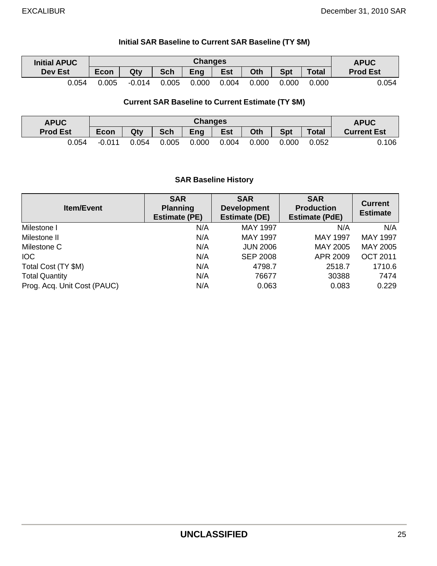### **Initial SAR Baseline to Current SAR Baseline (TY \$M)**

| <b>Initial APUC</b> |             | <b>Changes</b> |            |       |            |       |       |              | <b>APUC</b>     |
|---------------------|-------------|----------------|------------|-------|------------|-------|-------|--------------|-----------------|
| <b>Dev Est</b>      | <b>Econ</b> | Qty            | <b>Sch</b> | Eng   | <b>Est</b> | Oth   | Spt   | <b>Total</b> | <b>Prod Est</b> |
| 0.054               | 0.005       | $-0.014$       | 0.005      | 0.000 | 0.004      | 0.000 | 0.000 | .000         | 0.054           |

#### **Current SAR Baseline to Current Estimate (TY \$M)**

| <b>APUC</b>     |             | <b>Changes</b> |            |       |            |       |            |              | <b>APUC</b>        |
|-----------------|-------------|----------------|------------|-------|------------|-------|------------|--------------|--------------------|
| <b>Prod Est</b> | <b>Econ</b> | Qty            | <b>Sch</b> | Eng   | <b>Est</b> | Oth   | <b>Spt</b> | <b>Total</b> | <b>Current Est</b> |
| 0.054           | $-0.011$    | 0.054          | 0.005      | 0.000 | 0.004      | 0.000 | 0.000      | 0.052        | 0.106              |

### **SAR Baseline History**

| <b>Item/Event</b>           | <b>SAR</b><br><b>Planning</b><br><b>Estimate (PE)</b> | <b>SAR</b><br><b>Development</b><br><b>Estimate (DE)</b> | <b>SAR</b><br><b>Production</b><br><b>Estimate (PdE)</b> | <b>Current</b><br><b>Estimate</b> |
|-----------------------------|-------------------------------------------------------|----------------------------------------------------------|----------------------------------------------------------|-----------------------------------|
| Milestone I                 | N/A                                                   | <b>MAY 1997</b>                                          | N/A                                                      | N/A                               |
| Milestone II                | N/A                                                   | <b>MAY 1997</b>                                          | <b>MAY 1997</b>                                          | <b>MAY 1997</b>                   |
| Milestone C                 | N/A                                                   | <b>JUN 2006</b>                                          | <b>MAY 2005</b>                                          | MAY 2005                          |
| <b>IOC</b>                  | N/A                                                   | <b>SEP 2008</b>                                          | APR 2009                                                 | <b>OCT 2011</b>                   |
| Total Cost (TY \$M)         | N/A                                                   | 4798.7                                                   | 2518.7                                                   | 1710.6                            |
| <b>Total Quantity</b>       | N/A                                                   | 76677                                                    | 30388                                                    | 7474                              |
| Prog. Acq. Unit Cost (PAUC) | N/A                                                   | 0.063                                                    | 0.083                                                    | 0.229                             |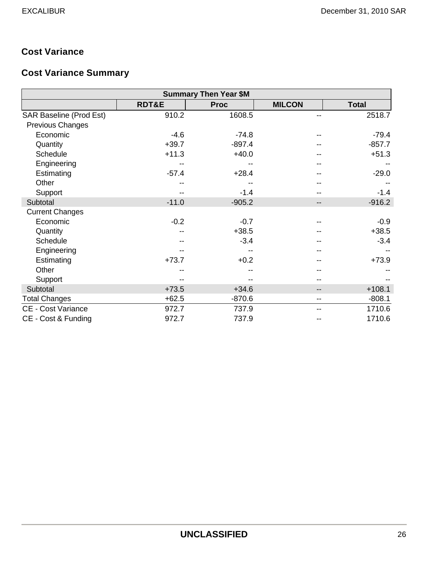## **Cost Variance**

# **Cost Variance Summary**

|                           |         | <b>Summary Then Year \$M</b> |                              |              |
|---------------------------|---------|------------------------------|------------------------------|--------------|
|                           | RDT&E   | <b>Proc</b>                  | <b>MILCON</b>                | <b>Total</b> |
| SAR Baseline (Prod Est)   | 910.2   | 1608.5                       |                              | 2518.7       |
| Previous Changes          |         |                              |                              |              |
| Economic                  | $-4.6$  | $-74.8$                      |                              | $-79.4$      |
| Quantity                  | $+39.7$ | $-897.4$                     |                              | $-857.7$     |
| Schedule                  | $+11.3$ | $+40.0$                      |                              | $+51.3$      |
| Engineering               |         |                              |                              |              |
| Estimating                | $-57.4$ | $+28.4$                      |                              | $-29.0$      |
| Other                     |         |                              |                              |              |
| Support                   |         | $-1.4$                       |                              | $-1.4$       |
| Subtotal                  | $-11.0$ | $-905.2$                     | --                           | $-916.2$     |
| <b>Current Changes</b>    |         |                              |                              |              |
| Economic                  | $-0.2$  | $-0.7$                       |                              | $-0.9$       |
| Quantity                  |         | $+38.5$                      |                              | $+38.5$      |
| Schedule                  |         | $-3.4$                       |                              | $-3.4$       |
| Engineering               |         |                              |                              |              |
| Estimating                | $+73.7$ | $+0.2$                       |                              | $+73.9$      |
| Other                     |         |                              |                              |              |
| Support                   |         |                              |                              |              |
| Subtotal                  | $+73.5$ | $+34.6$                      | $\qquad \qquad \blacksquare$ | $+108.1$     |
| <b>Total Changes</b>      | $+62.5$ | $-870.6$                     | $- -$                        | $-808.1$     |
| <b>CE - Cost Variance</b> | 972.7   | 737.9                        |                              | 1710.6       |
| CE - Cost & Funding       | 972.7   | 737.9                        |                              | 1710.6       |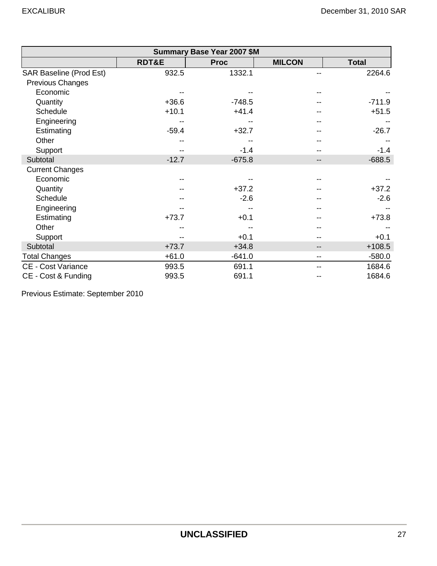|                           |                  | <b>Summary Base Year 2007 \$M</b> |               |              |
|---------------------------|------------------|-----------------------------------|---------------|--------------|
|                           | <b>RDT&amp;E</b> | <b>Proc</b>                       | <b>MILCON</b> | <b>Total</b> |
| SAR Baseline (Prod Est)   | 932.5            | 1332.1                            |               | 2264.6       |
| Previous Changes          |                  |                                   |               |              |
| Economic                  |                  |                                   |               |              |
| Quantity                  | $+36.6$          | $-748.5$                          |               | $-711.9$     |
| Schedule                  | $+10.1$          | $+41.4$                           |               | $+51.5$      |
| Engineering               |                  |                                   |               |              |
| Estimating                | $-59.4$          | $+32.7$                           |               | $-26.7$      |
| Other                     |                  |                                   |               |              |
| Support                   |                  | $-1.4$                            |               | $-1.4$       |
| Subtotal                  | $-12.7$          | $-675.8$                          | --            | $-688.5$     |
| <b>Current Changes</b>    |                  |                                   |               |              |
| Economic                  |                  |                                   |               |              |
| Quantity                  |                  | $+37.2$                           |               | $+37.2$      |
| Schedule                  |                  | $-2.6$                            |               | $-2.6$       |
| Engineering               |                  |                                   |               |              |
| Estimating                | $+73.7$          | $+0.1$                            |               | $+73.8$      |
| Other                     |                  |                                   |               |              |
| Support                   |                  | $+0.1$                            |               | $+0.1$       |
| Subtotal                  | $+73.7$          | $+34.8$                           | --            | $+108.5$     |
| <b>Total Changes</b>      | $+61.0$          | $-641.0$                          | --            | $-580.0$     |
| <b>CE - Cost Variance</b> | 993.5            | 691.1                             |               | 1684.6       |
| CE - Cost & Funding       | 993.5            | 691.1                             |               | 1684.6       |

Previous Estimate: September 2010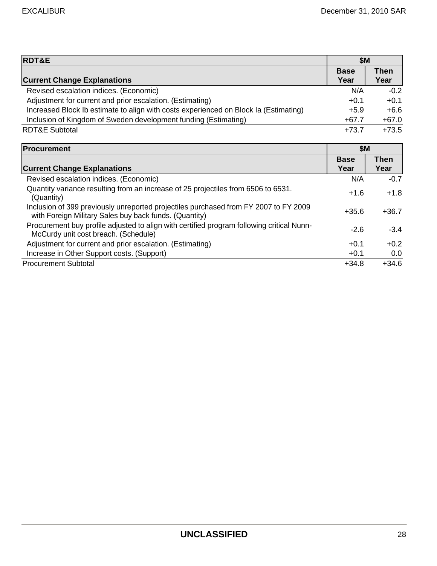| <b>RDT&amp;E</b>                                                                                                                               | <b>\$M</b>  |             |
|------------------------------------------------------------------------------------------------------------------------------------------------|-------------|-------------|
|                                                                                                                                                | <b>Base</b> | <b>Then</b> |
| <b>Current Change Explanations</b>                                                                                                             | Year        | Year        |
| Revised escalation indices. (Economic)                                                                                                         | N/A         | $-0.2$      |
| Adjustment for current and prior escalation. (Estimating)                                                                                      | $+0.1$      | $+0.1$      |
| Increased Block Ib estimate to align with costs experienced on Block Ia (Estimating)                                                           | $+5.9$      | $+6.6$      |
| Inclusion of Kingdom of Sweden development funding (Estimating)                                                                                | $+67.7$     | $+67.0$     |
| <b>RDT&amp;E Subtotal</b>                                                                                                                      | $+73.7$     | $+73.5$     |
| Procurement                                                                                                                                    | <b>\$M</b>  |             |
|                                                                                                                                                | <b>Base</b> | <b>Then</b> |
| <b>Current Change Explanations</b>                                                                                                             | Year        | Year        |
| Revised escalation indices. (Economic)                                                                                                         | N/A         | $-0.7$      |
| Quantity variance resulting from an increase of 25 projectiles from 6506 to 6531.<br>(Quantity)                                                | $+1.6$      | $+1.8$      |
| Inclusion of 399 previously unreported projectiles purchased from FY 2007 to FY 2009<br>with Foreign Military Sales buy back funds. (Quantity) | $+35.6$     | $+36.7$     |
| Procurement buy profile adjusted to align with certified program following critical Nunn-<br>McCurdy unit cost breach. (Schedule)              | $-2.6$      | $-3.4$      |
| Adjustment for current and prior escalation. (Estimating)                                                                                      | $+0.1$      | $+0.2$      |
| Increase in Other Support costs. (Support)                                                                                                     | $+0.1$      | 0.0         |
| <b>Procurement Subtotal</b>                                                                                                                    | $+34.8$     | $+34.6$     |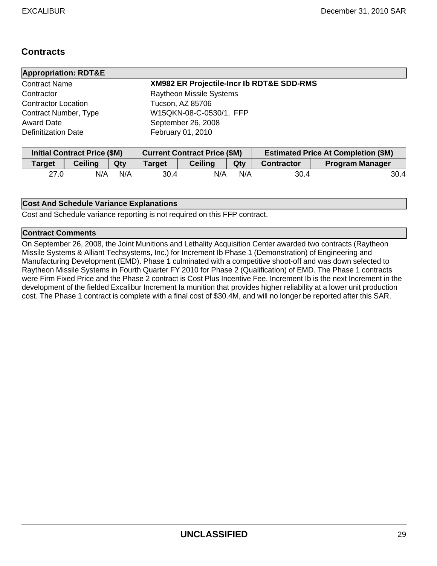## **Contracts**

| <b>Appropriation: RDT&amp;E</b> |                                                      |
|---------------------------------|------------------------------------------------------|
| <b>Contract Name</b>            | <b>XM982 ER Projectile-Incr Ib RDT&amp;E SDD-RMS</b> |
| Contractor                      | <b>Raytheon Missile Systems</b>                      |
| <b>Contractor Location</b>      | Tucson, AZ 85706                                     |
| Contract Number, Type           | W15QKN-08-C-0530/1, FFP                              |
| <b>Award Date</b>               | September 26, 2008                                   |
| <b>Definitization Date</b>      | February 01, 2010                                    |

|               | Initial Contract Price (\$M) |     | <b>Current Contract Price (\$M)</b> |                |     | <b>Estimated Price At Completion (\$M)</b> |                        |  |
|---------------|------------------------------|-----|-------------------------------------|----------------|-----|--------------------------------------------|------------------------|--|
| <b>Target</b> | <b>Ceiling</b>               | Qty | <b>Target</b>                       | <b>Ceiling</b> | Qty | <b>Contractor</b>                          | <b>Program Manager</b> |  |
| 27.0          | N/A                          | N/A | 30.4                                | N/A            | N/A | 30.4                                       | 30.4                   |  |

#### **Cost And Schedule Variance Explanations**

Cost and Schedule variance reporting is not required on this FFP contract.

#### **Contract Comments**

On September 26, 2008, the Joint Munitions and Lethality Acquisition Center awarded two contracts (Raytheon Missile Systems & Alliant Techsystems, Inc.) for Increment Ib Phase 1 (Demonstration) of Engineering and Manufacturing Development (EMD). Phase 1 culminated with a competitive shoot-off and was down selected to Raytheon Missile Systems in Fourth Quarter FY 2010 for Phase 2 (Qualification) of EMD. The Phase 1 contracts were Firm Fixed Price and the Phase 2 contract is Cost Plus Incentive Fee. Increment Ib is the next Increment in the development of the fielded Excalibur Increment Ia munition that provides higher reliability at a lower unit production cost. The Phase 1 contract is complete with a final cost of \$30.4M, and will no longer be reported after this SAR.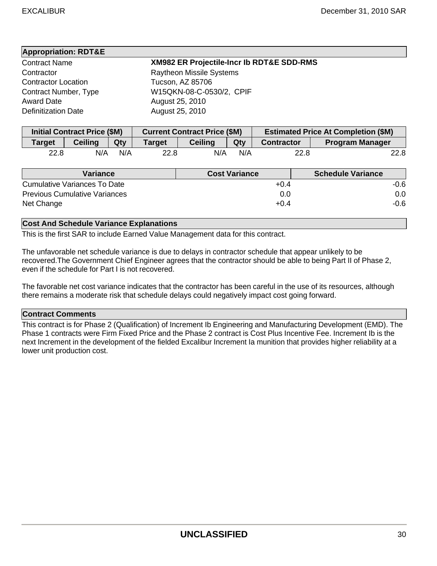| <b>Appropriation: RDT&amp;E</b> |                                                      |
|---------------------------------|------------------------------------------------------|
| <b>Contract Name</b>            | <b>XM982 ER Projectile-Incr Ib RDT&amp;E SDD-RMS</b> |
| Contractor                      | <b>Raytheon Missile Systems</b>                      |
| <b>Contractor Location</b>      | Tucson, AZ 85706                                     |
| Contract Number, Type           | W15QKN-08-C-0530/2, CPIF                             |
| <b>Award Date</b>               | August 25, 2010                                      |
| <b>Definitization Date</b>      | August 25, 2010                                      |

| <b>Initial Contract Price (\$M)</b> |                |     | <b>Current Contract Price (\$M)</b> |                |     | <b>Estimated Price At Completion (\$M)</b> |                        |
|-------------------------------------|----------------|-----|-------------------------------------|----------------|-----|--------------------------------------------|------------------------|
| <b>Target</b>                       | <b>Ceiling</b> | Qty | Target                              | <b>Ceiling</b> | Qty | <b>Contractor</b>                          | <b>Program Manager</b> |
| 22.8                                | N/A            | N/A | 22.8                                | N/A            | N/A | 22.8                                       | 22.8                   |

| Variance                             | <b>Cost Variance</b> | <b>Schedule Variance</b> |
|--------------------------------------|----------------------|--------------------------|
| Cumulative Variances To Date         | $+0.4$               | -0.6                     |
| <b>Previous Cumulative Variances</b> | 0.0                  | 0.0                      |
| Net Change                           | $+0.4$               | -0.6                     |

#### **Cost And Schedule Variance Explanations**

This is the first SAR to include Earned Value Management data for this contract.

The unfavorable net schedule variance is due to delays in contractor schedule that appear unlikely to be recovered.The Government Chief Engineer agrees that the contractor should be able to being Part II of Phase 2, even if the schedule for Part I is not recovered.

The favorable net cost variance indicates that the contractor has been careful in the use of its resources, although there remains a moderate risk that schedule delays could negatively impact cost going forward.

#### **Contract Comments**

This contract is for Phase 2 (Qualification) of Increment Ib Engineering and Manufacturing Development (EMD). The Phase 1 contracts were Firm Fixed Price and the Phase 2 contract is Cost Plus Incentive Fee. Increment Ib is the next Increment in the development of the fielded Excalibur Increment Ia munition that provides higher reliability at a lower unit production cost.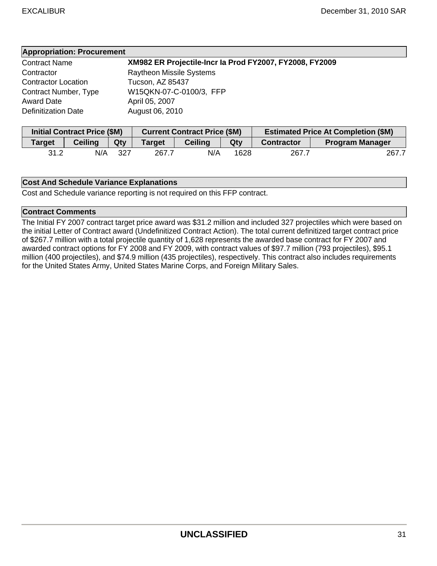| <b>Appropriation: Procurement</b> |                                                         |  |
|-----------------------------------|---------------------------------------------------------|--|
| Contract Name                     | XM982 ER Projectile-Incr la Prod FY2007, FY2008, FY2009 |  |
| Contractor                        | <b>Raytheon Missile Systems</b>                         |  |
| <b>Contractor Location</b>        | Tucson, AZ 85437                                        |  |
| Contract Number, Type             | W15QKN-07-C-0100/3, FFP                                 |  |
| Award Date                        | April 05, 2007                                          |  |
| <b>Definitization Date</b>        | August 06, 2010                                         |  |

| <b>Initial Contract Price (\$M)</b> |                |     | <b>Current Contract Price (\$M)</b> |                |      | <b>Estimated Price At Completion (\$M)</b> |                        |
|-------------------------------------|----------------|-----|-------------------------------------|----------------|------|--------------------------------------------|------------------------|
| <b>Target</b>                       | <b>Ceiling</b> | Qty | <b>Target</b>                       | <b>Ceiling</b> | Qty  | <b>Contractor</b>                          | <b>Program Manager</b> |
| 31.2                                | N/A            | 327 | 267.7                               | N/A            | 1628 | 267.7                                      | 267.7                  |

#### **Cost And Schedule Variance Explanations**

Cost and Schedule variance reporting is not required on this FFP contract.

#### **Contract Comments**

The Initial FY 2007 contract target price award was \$31.2 million and included 327 projectiles which were based on the initial Letter of Contract award (Undefinitized Contract Action). The total current definitized target contract price of \$267.7 million with a total projectile quantity of 1,628 represents the awarded base contract for FY 2007 and awarded contract options for FY 2008 and FY 2009, with contract values of \$97.7 million (793 projectiles), \$95.1 million (400 projectiles), and \$74.9 million (435 projectiles), respectively. This contract also includes requirements for the United States Army, United States Marine Corps, and Foreign Military Sales.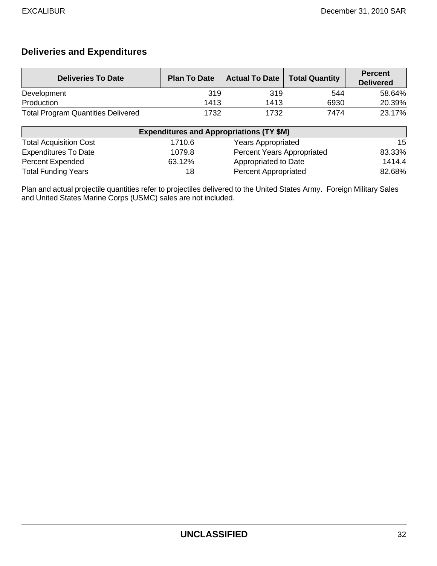## **Deliveries and Expenditures**

| <b>Deliveries To Date</b>                 | <b>Plan To Date</b> | <b>Actual To Date</b> | <b>Total Quantity</b> | <b>Percent</b><br><b>Delivered</b> |
|-------------------------------------------|---------------------|-----------------------|-----------------------|------------------------------------|
| Development                               | 319                 | 319                   | 544                   | 58.64%                             |
| Production                                | 1413                | 1413                  | 6930                  | 20.39%                             |
| <b>Total Program Quantities Delivered</b> | 1732                | 1732                  | 7474                  | 23.17%                             |

| <b>Expenditures and Appropriations (TY \$M)</b> |        |                             |        |  |  |
|-------------------------------------------------|--------|-----------------------------|--------|--|--|
| <b>Total Acquisition Cost</b>                   | 1710.6 | <b>Years Appropriated</b>   | 15     |  |  |
| <b>Expenditures To Date</b>                     | 1079.8 | Percent Years Appropriated  | 83.33% |  |  |
| <b>Percent Expended</b>                         | 63.12% | Appropriated to Date        | 1414.4 |  |  |
| <b>Total Funding Years</b>                      | 18     | <b>Percent Appropriated</b> | 82.68% |  |  |

Plan and actual projectile quantities refer to projectiles delivered to the United States Army. Foreign Military Sales and United States Marine Corps (USMC) sales are not included.